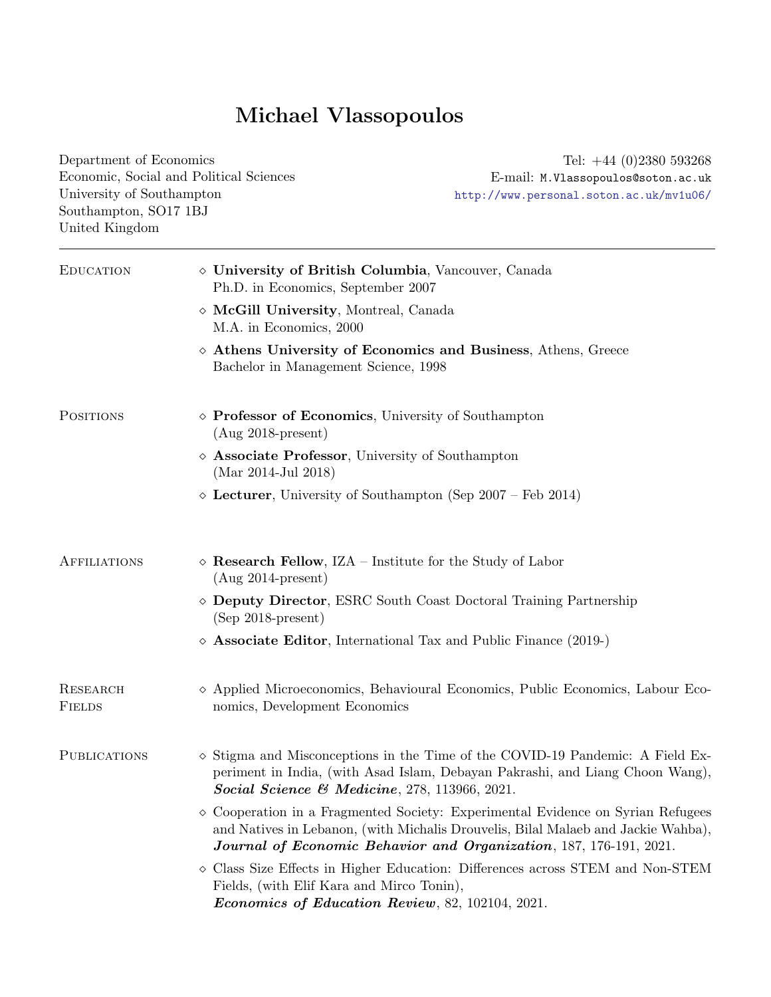| Department of Economics<br>University of Southampton<br>Southampton, SO17 1BJ<br>United Kingdom | Economic, Social and Political Sciences                                                               | Tel: $+44$ (0)2380 593268<br>E-mail: M.Vlassopoulos@soton.ac.uk<br>http://www.personal.soton.ac.uk/mv1u06/                                                                                                                                          |
|-------------------------------------------------------------------------------------------------|-------------------------------------------------------------------------------------------------------|-----------------------------------------------------------------------------------------------------------------------------------------------------------------------------------------------------------------------------------------------------|
| <b>EDUCATION</b>                                                                                | ◇ University of British Columbia, Vancouver, Canada<br>Ph.D. in Economics, September 2007             |                                                                                                                                                                                                                                                     |
|                                                                                                 | $\diamond$ McGill University, Montreal, Canada<br>M.A. in Economics, 2000                             |                                                                                                                                                                                                                                                     |
|                                                                                                 | Bachelor in Management Science, 1998                                                                  | $\diamond$ Athens University of Economics and Business, Athens, Greece                                                                                                                                                                              |
| <b>POSITIONS</b>                                                                                | $\diamond$ Professor of Economics, University of Southampton<br>$(Aug 2018-present)$                  |                                                                                                                                                                                                                                                     |
|                                                                                                 | $\diamond$ Associate Professor, University of Southampton<br>(Mar 2014-Jul 2018)                      |                                                                                                                                                                                                                                                     |
|                                                                                                 | $\diamond$ Lecturer, University of Southampton (Sep 2007 – Feb 2014)                                  |                                                                                                                                                                                                                                                     |
| <b>AFFILIATIONS</b>                                                                             | $\diamond$ Research Fellow, IZA – Institute for the Study of Labor<br>$(Aug 2014-present)$            |                                                                                                                                                                                                                                                     |
|                                                                                                 | $(Sep 2018-present)$                                                                                  | ◇ Deputy Director, ESRC South Coast Doctoral Training Partnership                                                                                                                                                                                   |
|                                                                                                 | ◇                                                                                                     | <b>Associate Editor</b> , International Tax and Public Finance (2019-)                                                                                                                                                                              |
| RESEARCH<br><b>FIELDS</b>                                                                       | nomics, Development Economics                                                                         | $\diamond$ Applied Microeconomics, Behavioural Economics, Public Economics, Labour Eco-                                                                                                                                                             |
| <b>PUBLICATIONS</b>                                                                             | Social Science & Medicine, $278$ , 113966, 2021.                                                      | $\diamond$ Stigma and Misconceptions in the Time of the COVID-19 Pandemic: A Field Ex-<br>periment in India, (with Asad Islam, Debayan Pakrashi, and Liang Choon Wang),                                                                             |
|                                                                                                 |                                                                                                       | $\diamond$ Cooperation in a Fragmented Society: Experimental Evidence on Syrian Refugees<br>and Natives in Lebanon, (with Michalis Drouvelis, Bilal Malaeb and Jackie Wahba),<br>Journal of Economic Behavior and Organization, 187, 176-191, 2021. |
|                                                                                                 | Fields, (with Elif Kara and Mirco Tonin),<br><i>Economics of Education Review</i> , 82, 102104, 2021. | $\diamond$ Class Size Effects in Higher Education: Differences across STEM and Non-STEM                                                                                                                                                             |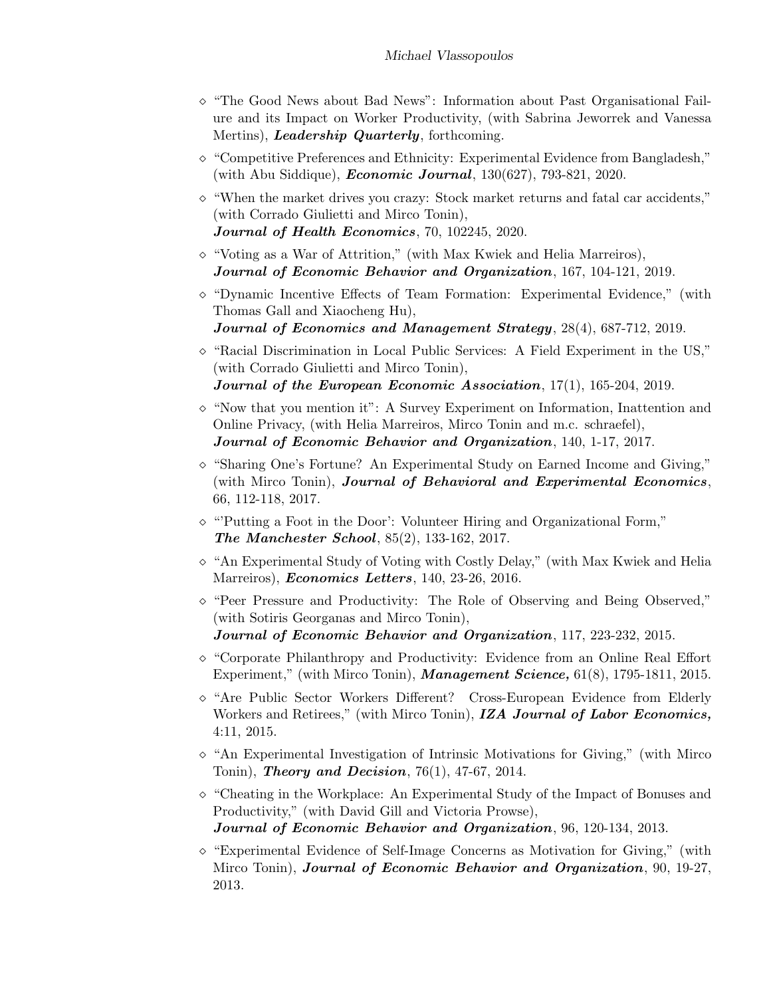- $\Diamond$  "The Good News about Bad News": Information about Past Organisational Failure and its Impact on Worker Productivity, (with Sabrina Jeworrek and Vanessa Mertins), *Leadership Quarterly*, forthcoming.
- $\Diamond$  "Competitive Preferences and Ethnicity: Experimental Evidence from Bangladesh," (with Abu Siddique), *Economic Journal*, 130(627), 793-821, 2020.
- $\Diamond$  "When the market drives you crazy: Stock market returns and fatal car accidents," (with Corrado Giulietti and Mirco Tonin), Journal of Health Economics, 70, 102245, 2020.
- $\Diamond$  "Voting as a War of Attrition," (with Max Kwiek and Helia Marreiros), Journal of Economic Behavior and Organization, 167, 104-121, 2019.
- $\Diamond$  "Dynamic Incentive Effects of Team Formation: Experimental Evidence," (with Thomas Gall and Xiaocheng Hu), Journal of Economics and Management Strategy, 28(4), 687-712, 2019.
- $\circ$  "Racial Discrimination in Local Public Services: A Field Experiment in the US," (with Corrado Giulietti and Mirco Tonin),

```
Journal of the European Economic Association, 17(1), 165-204, 2019.
```
- $\Diamond$  "Now that you mention it": A Survey Experiment on Information, Inattention and Online Privacy, (with Helia Marreiros, Mirco Tonin and m.c. schraefel), Journal of Economic Behavior and Organization, 140, 1-17, 2017.
- $\Diamond$  "Sharing One's Fortune? An Experimental Study on Earned Income and Giving," (with Mirco Tonin), Journal of Behavioral and Experimental Economics, 66, 112-118, 2017.
- $\circ$  "Putting a Foot in the Door': Volunteer Hiring and Organizational Form," The Manchester School, 85(2), 133-162, 2017.
- $\Diamond$  "An Experimental Study of Voting with Costly Delay," (with Max Kwiek and Helia Marreiros), *Economics Letters*, 140, 23-26, 2016.
- $\Diamond$  "Peer Pressure and Productivity: The Role of Observing and Being Observed," (with Sotiris Georganas and Mirco Tonin), Journal of Economic Behavior and Organization, 117, 223-232, 2015.
- $\Diamond$  "Corporate Philanthropy and Productivity: Evidence from an Online Real Effort Experiment," (with Mirco Tonin), **Management Science**,  $61(8)$ , 1795-1811, 2015.
- $\Diamond$  "Are Public Sector Workers Different? Cross-European Evidence from Elderly Workers and Retirees," (with Mirco Tonin), IZA Journal of Labor Economics, 4:11, 2015.
- $\Diamond$  "An Experimental Investigation of Intrinsic Motivations for Giving," (with Mirco Tonin), Theory and Decision,  $76(1)$ ,  $47-67$ ,  $2014$ .
- $\Diamond$  "Cheating in the Workplace: An Experimental Study of the Impact of Bonuses and Productivity," (with David Gill and Victoria Prowse), Journal of Economic Behavior and Organization, 96, 120-134, 2013.
- $\circ$  "Experimental Evidence of Self-Image Concerns as Motivation for Giving," (with Mirco Tonin), Journal of Economic Behavior and Organization, 90, 19-27, 2013.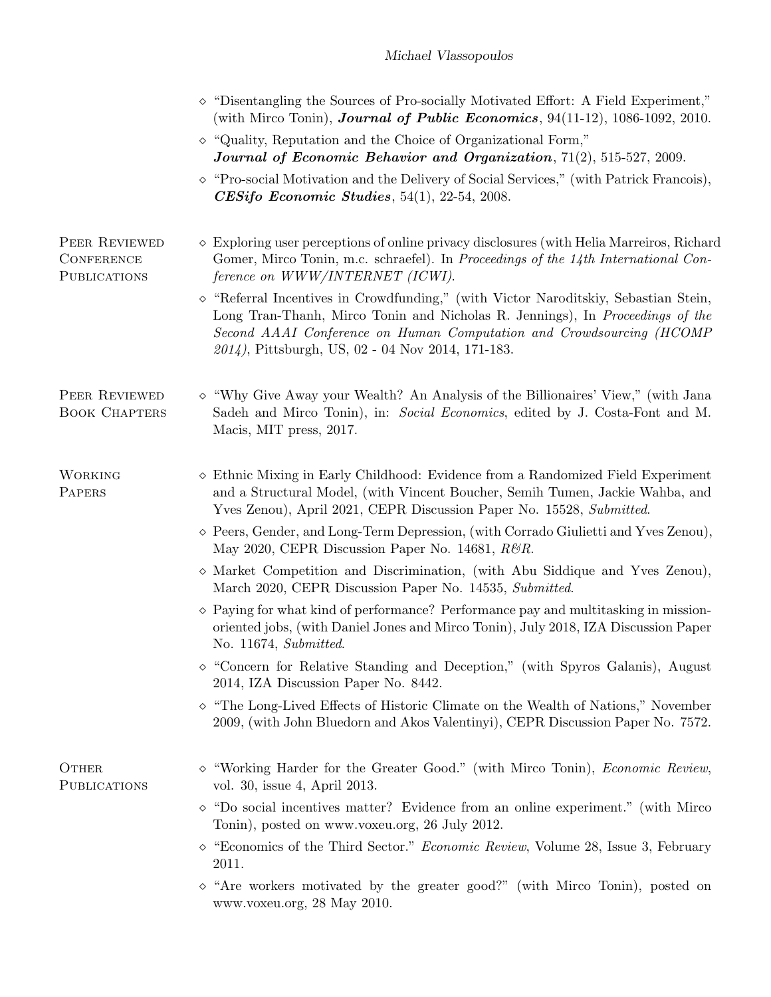|                                                           | $\diamond$ "Disentangling the Sources of Pro-socially Motivated Effort: A Field Experiment,"<br>(with Mirco Tonin), <b>Journal of Public Economics</b> , $94(11-12)$ , $1086-1092$ , $2010$ .                                                                                                              |
|-----------------------------------------------------------|------------------------------------------------------------------------------------------------------------------------------------------------------------------------------------------------------------------------------------------------------------------------------------------------------------|
|                                                           | $\diamond$ "Quality, Reputation and the Choice of Organizational Form,"<br>Journal of Economic Behavior and Organization, 71(2), 515-527, 2009.                                                                                                                                                            |
|                                                           | $\diamond$ "Pro-social Motivation and the Delivery of Social Services," (with Patrick Francois),<br><b>CESifo Economic Studies</b> , $54(1)$ , $22-54$ , $2008$ .                                                                                                                                          |
| PEER REVIEWED<br><b>CONFERENCE</b><br><b>PUBLICATIONS</b> | $\diamond$ Exploring user perceptions of online privacy disclosures (with Helia Marreiros, Richard<br>Gomer, Mirco Tonin, m.c. schraefel). In Proceedings of the 14th International Con-<br>ference on WWW/INTERNET (ICWI).                                                                                |
|                                                           | $\diamond$ "Referral Incentives in Crowdfunding," (with Victor Naroditskiy, Sebastian Stein,<br>Long Tran-Thanh, Mirco Tonin and Nicholas R. Jennings), In Proceedings of the<br>Second AAAI Conference on Human Computation and Crowdsourcing (HCOMP<br>2014), Pittsburgh, US, 02 - 04 Nov 2014, 171-183. |
| PEER REVIEWED<br><b>BOOK CHAPTERS</b>                     | $\diamond$ "Why Give Away your Wealth? An Analysis of the Billionaires' View," (with Jana<br>Sadeh and Mirco Tonin), in: Social Economics, edited by J. Costa-Font and M.<br>Macis, MIT press, 2017.                                                                                                       |
| <b>WORKING</b><br>PAPERS                                  | $\diamond$ Ethnic Mixing in Early Childhood: Evidence from a Randomized Field Experiment<br>and a Structural Model, (with Vincent Boucher, Semih Tumen, Jackie Wahba, and<br>Yves Zenou), April 2021, CEPR Discussion Paper No. 15528, Submitted.                                                          |
|                                                           | $\diamond$ Peers, Gender, and Long-Term Depression, (with Corrado Giulietti and Yves Zenou),<br>May 2020, CEPR Discussion Paper No. 14681, $R\mathcal{B}R$ .                                                                                                                                               |
|                                                           | $\diamond$ Market Competition and Discrimination, (with Abu Siddique and Yves Zenou),<br>March 2020, CEPR Discussion Paper No. 14535, Submitted.                                                                                                                                                           |
|                                                           | $\Diamond$ Paying for what kind of performance? Performance pay and multitasking in mission-<br>oriented jobs, (with Daniel Jones and Mirco Tonin), July 2018, IZA Discussion Paper<br>No. 11674, Submitted.                                                                                               |
|                                                           | $\diamond$ "Concern for Relative Standing and Deception," (with Spyros Galanis), August<br>2014, IZA Discussion Paper No. 8442.                                                                                                                                                                            |
|                                                           | $\diamond$ "The Long-Lived Effects of Historic Climate on the Wealth of Nations," November<br>2009, (with John Bluedorn and Akos Valentinyi), CEPR Discussion Paper No. 7572.                                                                                                                              |
| OTHER<br><b>PUBLICATIONS</b>                              | $\diamond$ "Working Harder for the Greater Good." (with Mirco Tonin), <i>Economic Review</i> ,<br>vol. 30, issue 4, April 2013.                                                                                                                                                                            |
|                                                           | $\Diamond$ "Do social incentives matter? Evidence from an online experiment." (with Mirco<br>Tonin), posted on www.voxeu.org, 26 July 2012.                                                                                                                                                                |
|                                                           | $\diamond$ "Economics of the Third Sector." <i>Economic Review</i> , Volume 28, Issue 3, February<br>2011.                                                                                                                                                                                                 |
|                                                           | $\diamond$ "Are workers motivated by the greater good?" (with Mirco Tonin), posted on<br>www.voxeu.org, 28 May 2010.                                                                                                                                                                                       |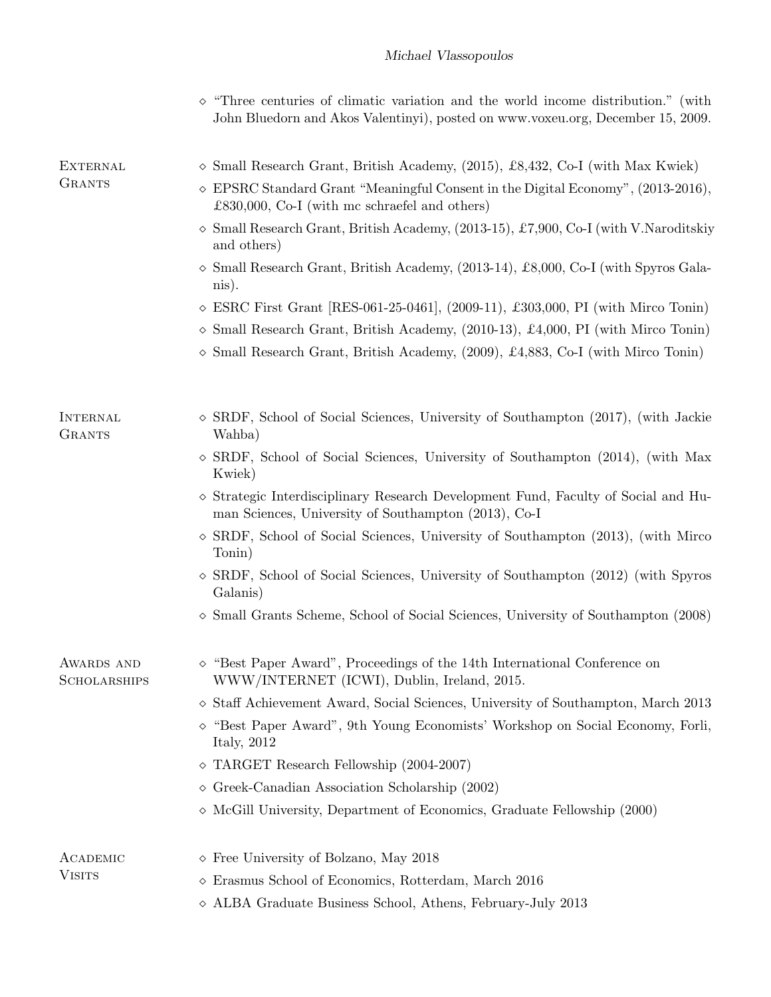|                                   | "Three centuries of climatic variation and the world income distribution." (with<br>John Bluedorn and Akos Valentinyi), posted on www.voxeu.org, December 15, 2009. |  |
|-----------------------------------|---------------------------------------------------------------------------------------------------------------------------------------------------------------------|--|
| <b>EXTERNAL</b>                   | $\Diamond$ Small Research Grant, British Academy, (2015), £8,432, Co-I (with Max Kwiek)                                                                             |  |
| <b>GRANTS</b>                     | $\Diamond$ EPSRC Standard Grant "Meaningful Consent in the Digital Economy", (2013-2016),<br>£830,000, Co-I (with mc schraefel and others)                          |  |
|                                   | Small Research Grant, British Academy, (2013-15), £7,900, Co-I (with V.Naroditskiy<br>♦<br>and others)                                                              |  |
|                                   | $\Diamond$ Small Research Grant, British Academy, (2013-14), £8,000, Co-I (with Spyros Gala-<br>nis).                                                               |  |
|                                   | $\circ$ ESRC First Grant [RES-061-25-0461], (2009-11), £303,000, PI (with Mirco Tonin)                                                                              |  |
|                                   | $\Diamond$ Small Research Grant, British Academy, (2010-13), £4,000, PI (with Mirco Tonin)                                                                          |  |
|                                   | $\Diamond$ Small Research Grant, British Academy, (2009), £4,883, Co-I (with Mirco Tonin)                                                                           |  |
| <b>INTERNAL</b><br><b>GRANTS</b>  | $\Diamond$ SRDF, School of Social Sciences, University of Southampton (2017), (with Jackie                                                                          |  |
|                                   | Wahba)<br>$\diamond$ SRDF, School of Social Sciences, University of Southampton (2014), (with Max<br>Kwiek)                                                         |  |
|                                   | $\diamond$ Strategic Interdisciplinary Research Development Fund, Faculty of Social and Hu-<br>man Sciences, University of Southampton (2013), Co-I                 |  |
|                                   | $\diamond$ SRDF, School of Social Sciences, University of Southampton (2013), (with Mirco<br>Tonin)                                                                 |  |
|                                   | $\diamond$ SRDF, School of Social Sciences, University of Southampton (2012) (with Spyros<br>Galanis)                                                               |  |
|                                   | $\diamond$ Small Grants Scheme, School of Social Sciences, University of Southampton (2008)                                                                         |  |
| AWARDS AND<br><b>SCHOLARSHIPS</b> | "Best Paper Award", Proceedings of the 14th International Conference on<br>WWW/INTERNET (ICWI), Dublin, Ireland, 2015.                                              |  |
|                                   | $\diamond$ Staff Achievement Award, Social Sciences, University of Southampton, March 2013                                                                          |  |
|                                   | $\diamond$ "Best Paper Award", 9th Young Economists' Workshop on Social Economy, Forli,<br>Italy, $2012$                                                            |  |
|                                   | $\Diamond$ TARGET Research Fellowship (2004-2007)                                                                                                                   |  |
|                                   | $\diamond$ Greek-Canadian Association Scholarship (2002)                                                                                                            |  |
|                                   | $\diamond$ McGill University, Department of Economics, Graduate Fellowship (2000)                                                                                   |  |
| ACADEMIC                          | $\diamond$ Free University of Bolzano, May 2018                                                                                                                     |  |
| <b>VISITS</b>                     | $\diamond$ Erasmus School of Economics, Rotterdam, March 2016                                                                                                       |  |
|                                   | $\diamond$ ALBA Graduate Business School, Athens, February-July 2013                                                                                                |  |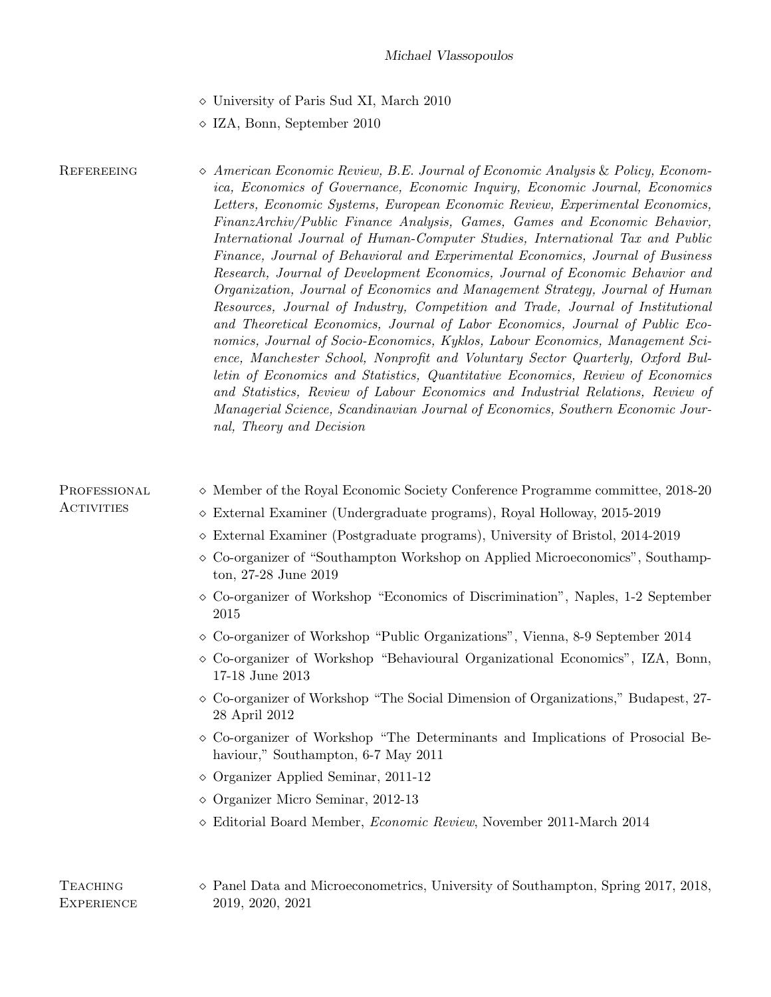- University of Paris Sud XI, March 2010
- IZA, Bonn, September 2010

REFEREEING  $\Diamond$  American Economic Review, B.E. Journal of Economic Analysis & Policy, Economica, Economics of Governance, Economic Inquiry, Economic Journal, Economics Letters, Economic Systems, European Economic Review, Experimental Economics, FinanzArchiv/Public Finance Analysis, Games, Games and Economic Behavior, International Journal of Human-Computer Studies, International Tax and Public Finance, Journal of Behavioral and Experimental Economics, Journal of Business Research, Journal of Development Economics, Journal of Economic Behavior and Organization, Journal of Economics and Management Strategy, Journal of Human Resources, Journal of Industry, Competition and Trade, Journal of Institutional and Theoretical Economics, Journal of Labor Economics, Journal of Public Economics, Journal of Socio-Economics, Kyklos, Labour Economics, Management Science, Manchester School, Nonprofit and Voluntary Sector Quarterly, Oxford Bulletin of Economics and Statistics, Quantitative Economics, Review of Economics and Statistics, Review of Labour Economics and Industrial Relations, Review of Managerial Science, Scandinavian Journal of Economics, Southern Economic Journal, Theory and Decision

| PROFESSIONAL<br><b>ACTIVITIES</b>    | $\diamond$ Member of the Royal Economic Society Conference Programme committee, 2018-20<br>$\diamond$ External Examiner (Undergraduate programs), Royal Holloway, 2015-2019<br>$\diamond$ External Examiner (Postgraduate programs), University of Bristol, 2014-2019<br>$\diamond$ Co-organizer of "Southampton Workshop on Applied Microeconomics", Southamp- |  |
|--------------------------------------|-----------------------------------------------------------------------------------------------------------------------------------------------------------------------------------------------------------------------------------------------------------------------------------------------------------------------------------------------------------------|--|
|                                      | ton, 27-28 June 2019<br>$\diamond$ Co-organizer of Workshop "Economics of Discrimination", Naples, 1-2 September<br>2015                                                                                                                                                                                                                                        |  |
|                                      | $\diamond$ Co-organizer of Workshop "Public Organizations", Vienna, 8-9 September 2014                                                                                                                                                                                                                                                                          |  |
|                                      | $\Diamond$ Co-organizer of Workshop "Behavioural Organizational Economics", IZA, Bonn,<br>17-18 June 2013                                                                                                                                                                                                                                                       |  |
|                                      | $\Diamond$ Co-organizer of Workshop "The Social Dimension of Organizations," Budapest, 27-<br>28 April 2012                                                                                                                                                                                                                                                     |  |
|                                      | $\Diamond$ Co-organizer of Workshop "The Determinants and Implications of Prosocial Be-<br>haviour," Southampton, 6-7 May 2011                                                                                                                                                                                                                                  |  |
|                                      | $\diamond$ Organizer Applied Seminar, 2011-12                                                                                                                                                                                                                                                                                                                   |  |
|                                      | $\diamond$ Organizer Micro Seminar, 2012-13                                                                                                                                                                                                                                                                                                                     |  |
|                                      | $\diamond$ Editorial Board Member, <i>Economic Review</i> , November 2011-March 2014                                                                                                                                                                                                                                                                            |  |
|                                      |                                                                                                                                                                                                                                                                                                                                                                 |  |
| <b>TEACHING</b><br><b>EXPERIENCE</b> | $\diamond$ Panel Data and Microeconometrics, University of Southampton, Spring 2017, 2018,<br>2019, 2020, 2021                                                                                                                                                                                                                                                  |  |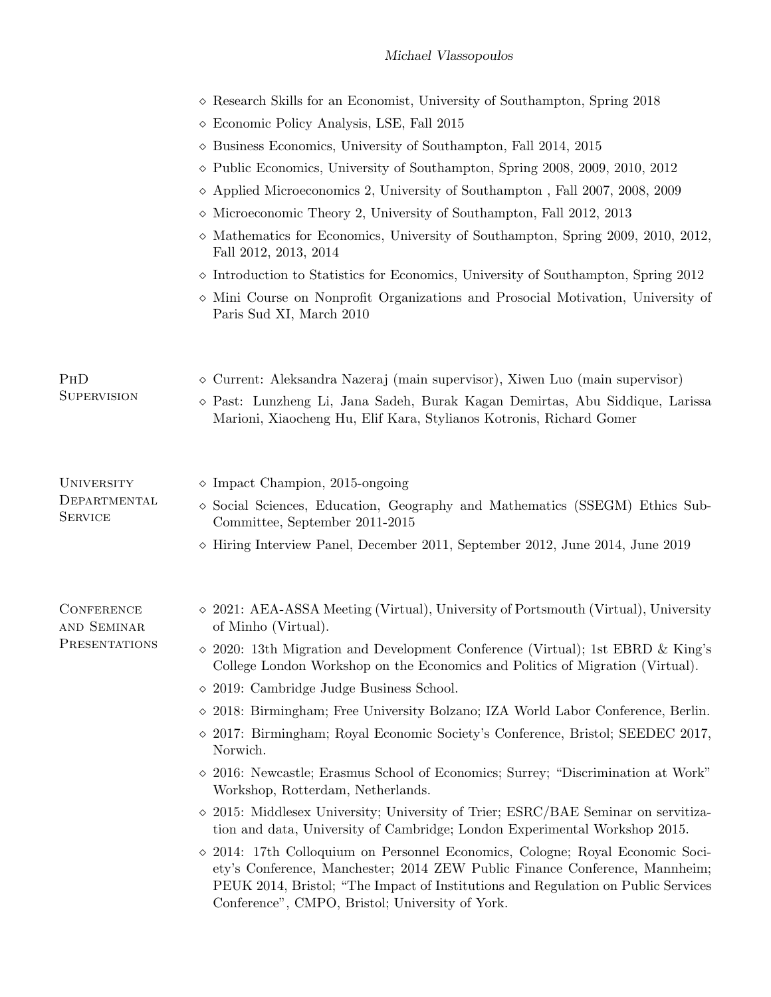|                                                     | $\diamond$ Research Skills for an Economist, University of Southampton, Spring 2018<br>$\diamond$ Economic Policy Analysis, LSE, Fall 2015<br>$\diamond$ Business Economics, University of Southampton, Fall 2014, 2015<br>$\diamond$ Public Economics, University of Southampton, Spring 2008, 2009, 2010, 2012<br>$\diamond$ Applied Microeconomics 2, University of Southampton, Fall 2007, 2008, 2009<br>$\diamond$ Microeconomic Theory 2, University of Southampton, Fall 2012, 2013<br>$\diamond$ Mathematics for Economics, University of Southampton, Spring 2009, 2010, 2012,<br>Fall 2012, 2013, 2014                                                                                                                                                                                                                                                                                                                                                                                                                                                                                                                                                               |
|-----------------------------------------------------|--------------------------------------------------------------------------------------------------------------------------------------------------------------------------------------------------------------------------------------------------------------------------------------------------------------------------------------------------------------------------------------------------------------------------------------------------------------------------------------------------------------------------------------------------------------------------------------------------------------------------------------------------------------------------------------------------------------------------------------------------------------------------------------------------------------------------------------------------------------------------------------------------------------------------------------------------------------------------------------------------------------------------------------------------------------------------------------------------------------------------------------------------------------------------------|
|                                                     | $\diamond$ Introduction to Statistics for Economics, University of Southampton, Spring 2012<br>$\diamond$ Mini Course on Nonprofit Organizations and Prosocial Motivation, University of<br>Paris Sud XI, March 2010                                                                                                                                                                                                                                                                                                                                                                                                                                                                                                                                                                                                                                                                                                                                                                                                                                                                                                                                                           |
| PHD<br><b>SUPERVISION</b>                           | $\diamond$ Current: Aleksandra Nazeraj (main supervisor), Xiwen Luo (main supervisor)<br>$\diamond$ Past: Lunzheng Li, Jana Sadeh, Burak Kagan Demirtas, Abu Siddique, Larissa<br>Marioni, Xiaocheng Hu, Elif Kara, Stylianos Kotronis, Richard Gomer                                                                                                                                                                                                                                                                                                                                                                                                                                                                                                                                                                                                                                                                                                                                                                                                                                                                                                                          |
| <b>UNIVERSITY</b><br>DEPARTMENTAL<br><b>SERVICE</b> | $\diamond$ Impact Champion, 2015-ongoing<br>$\diamond$ Social Sciences, Education, Geography and Mathematics (SSEGM) Ethics Sub-<br>Committee, September 2011-2015<br>$\diamond$ Hiring Interview Panel, December 2011, September 2012, June 2014, June 2019                                                                                                                                                                                                                                                                                                                                                                                                                                                                                                                                                                                                                                                                                                                                                                                                                                                                                                                   |
| <b>CONFERENCE</b><br>AND SEMINAR<br>PRESENTATIONS   | $\Diamond$ 2021: AEA-ASSA Meeting (Virtual), University of Portsmouth (Virtual), University<br>of Minho (Virtual).<br>$\sim$ 2020: 13th Migration and Development Conference (Virtual); 1st EBRD & King's<br>College London Workshop on the Economics and Politics of Migration (Virtual).<br>$\Diamond$ 2019: Cambridge Judge Business School.<br>$\Diamond$ 2018: Birmingham; Free University Bolzano; IZA World Labor Conference, Berlin.<br>$\Diamond$ 2017: Birmingham; Royal Economic Society's Conference, Bristol; SEEDEC 2017,<br>Norwich.<br>$\Diamond$ 2016: Newcastle; Erasmus School of Economics; Surrey; "Discrimination at Work"<br>Workshop, Rotterdam, Netherlands.<br>$\sim$ 2015: Middlesex University; University of Trier; ESRC/BAE Seminar on servitiza-<br>tion and data, University of Cambridge; London Experimental Workshop 2015.<br>$\Diamond$ 2014: 17th Colloquium on Personnel Economics, Cologne; Royal Economic Soci-<br>ety's Conference, Manchester; 2014 ZEW Public Finance Conference, Mannheim;<br>PEUK 2014, Bristol; "The Impact of Institutions and Regulation on Public Services<br>Conference", CMPO, Bristol; University of York. |